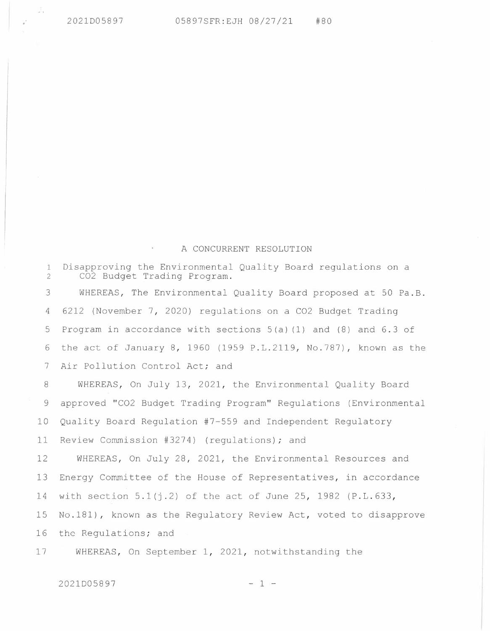## A CONCURRENT RESOLUTION

<sup>1</sup>Disapproving the Environmental Quality Board regulations on a 2 CO2 Budget Trading Program. 3 WHEREAS, The Environmental Quality Board proposed at 50 Pa.B. 4 6212 (November 7, 2020) regulations on a CO2 Budget Trading 5 Program in accordance with sections 5(a) (1) and (8) and 6.3 of 6 the act of January 8, 1960 (1959 P.L.2119, No.787), known as the 7 Air Pollution Control Act; and 8 WHEREAS, On July 13, 2021, the Environmental Quality Board 9 approved "CO2 Budget Trading Program" Regulations (Environmental 10 Quality Board Regulation #7-559 and Independent Regulatory 11 Review Commission #3274) (regulations); and 12 WHEREAS, On July 28, 2021, the Environmental Resources and 13 Energy Committee of the House of Representatives, in accordance 14 with section 5.l(j.2) of the act of June 25, 1982 (P.L.633, 15 No.181), known as the Regulatory Review Act, voted to disapprove 16 the Regulations; and

17 WHEREAS, On September 1, 2021, notwithstanding the

## $2021D05897$  - 1 -